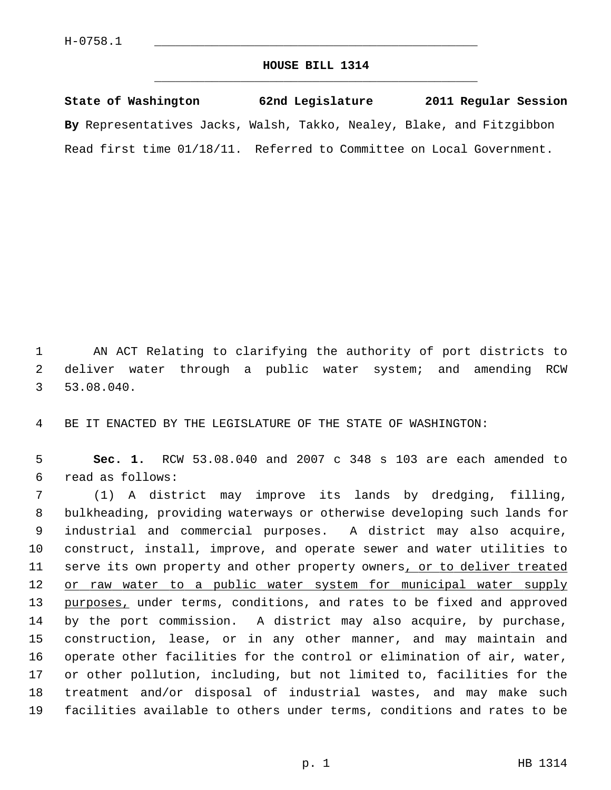## **HOUSE BILL 1314** \_\_\_\_\_\_\_\_\_\_\_\_\_\_\_\_\_\_\_\_\_\_\_\_\_\_\_\_\_\_\_\_\_\_\_\_\_\_\_\_\_\_\_\_\_

**State of Washington 62nd Legislature 2011 Regular Session By** Representatives Jacks, Walsh, Takko, Nealey, Blake, and Fitzgibbon Read first time 01/18/11. Referred to Committee on Local Government.

 1 AN ACT Relating to clarifying the authority of port districts to 2 deliver water through a public water system; and amending RCW 3 53.08.040.

4 BE IT ENACTED BY THE LEGISLATURE OF THE STATE OF WASHINGTON:

 5 **Sec. 1.** RCW 53.08.040 and 2007 c 348 s 103 are each amended to 6 read as follows:

 7 (1) A district may improve its lands by dredging, filling, 8 bulkheading, providing waterways or otherwise developing such lands for 9 industrial and commercial purposes. A district may also acquire, 10 construct, install, improve, and operate sewer and water utilities to 11 serve its own property and other property owners, or to deliver treated 12 or raw water to a public water system for municipal water supply 13 purposes, under terms, conditions, and rates to be fixed and approved 14 by the port commission. A district may also acquire, by purchase, 15 construction, lease, or in any other manner, and may maintain and 16 operate other facilities for the control or elimination of air, water, 17 or other pollution, including, but not limited to, facilities for the 18 treatment and/or disposal of industrial wastes, and may make such 19 facilities available to others under terms, conditions and rates to be